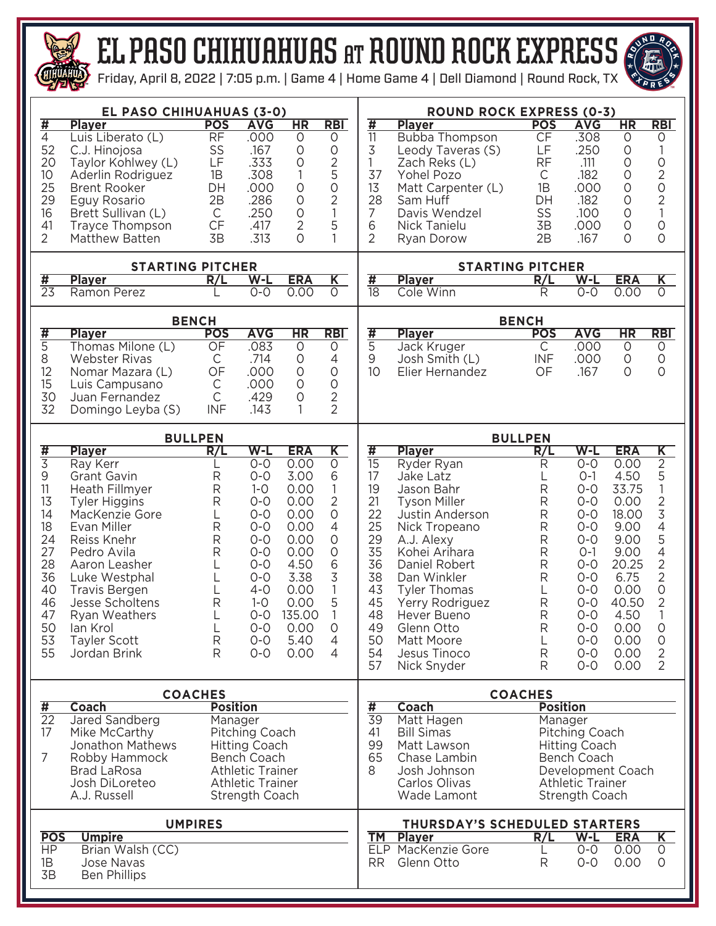

## el paso CHIHUAHUAS at round rock EXPRESS



Friday, April 8, 2022 | 7:05 p.m. | Game 4 | Home Game 4 | Dell Diamond | Round Rock, TX  $\mathsf{L}$ 

|                                               | EL PASO CHIHUAHUAS (3-0)               |                                   |                                                    |                    | <b>ROUND ROCK EXPRESS (0-3)</b> |                                                                          |                                                |              |                                              |               |                                            |  |  |  |  |  |  |
|-----------------------------------------------|----------------------------------------|-----------------------------------|----------------------------------------------------|--------------------|---------------------------------|--------------------------------------------------------------------------|------------------------------------------------|--------------|----------------------------------------------|---------------|--------------------------------------------|--|--|--|--|--|--|
| #                                             | <b>Player</b>                          | <b>POS</b>                        | <b>AVG</b>                                         | HR                 | <b>RBI</b>                      | $\overline{\sharp}$                                                      | <b>Player</b>                                  | <b>POS</b>   | <b>AVG</b>                                   | <b>HR</b>     | <b>RBI</b>                                 |  |  |  |  |  |  |
| $\overline{4}$                                | Luis Liberato (L)                      | $\overline{RF}$                   | .000                                               | $\circ$            | 0                               | $\overline{11}$                                                          | <b>Bubba Thompson</b>                          | CF           | .308                                         | $\circ$       | 0                                          |  |  |  |  |  |  |
| 52                                            | C.J. Hinojosa                          | SS                                | .167                                               | $\circ$            | $\circ$                         | 3                                                                        | Leody Taveras (S)                              | LF           | .250                                         | $\circ$       | 1                                          |  |  |  |  |  |  |
| 20                                            | Taylor Kohlwey (L)                     | LF                                | .333                                               | 0                  | $\overline{2}$                  | 1                                                                        | Zach Reks (L)                                  | <b>RF</b>    | .111                                         | 0             | $\begin{array}{c} 0 \\ 2 \\ 0 \end{array}$ |  |  |  |  |  |  |
| 10                                            | Aderlin Rodriguez                      | 1B                                | .308                                               | 1                  | 5                               | 37                                                                       | Yohel Pozo                                     | $\mathsf C$  | .182                                         | 0             |                                            |  |  |  |  |  |  |
| 25<br>29                                      | <b>Brent Rooker</b>                    | DH<br>2B                          | .000                                               | $\circ$<br>$\circ$ | $\circ$                         | 13<br>28                                                                 | Matt Carpenter (L)                             | 1B<br>DH     | .000<br>.182                                 | $\circ$       | $\overline{2}$                             |  |  |  |  |  |  |
| 16                                            | Eguy Rosario<br>Brett Sullivan (L)     | $\mathsf{C}$                      | .286<br>.250                                       | $\circ$            | $\overline{2}$<br>1             | 7                                                                        | Sam Huff<br>Davis Wendzel                      | SS           | .100                                         | 0<br>$\circ$  | $\mathbf{1}$                               |  |  |  |  |  |  |
| 41                                            | Trayce Thompson                        | <b>CF</b>                         | .417                                               | 2                  | 5                               | 6                                                                        | Nick Tanielu                                   | 3B           | .000                                         | $\circ$       | $\mathsf O$                                |  |  |  |  |  |  |
| $\overline{2}$                                | Matthew Batten                         | 3B                                | .313                                               | $\circ$            |                                 | $\overline{2}$                                                           | Ryan Dorow                                     | 2B           | .167                                         | O             | $\overline{O}$                             |  |  |  |  |  |  |
|                                               |                                        |                                   |                                                    |                    |                                 |                                                                          |                                                |              |                                              |               |                                            |  |  |  |  |  |  |
|                                               | <b>STARTING PITCHER</b>                |                                   |                                                    |                    |                                 | <b>STARTING PITCHER</b>                                                  |                                                |              |                                              |               |                                            |  |  |  |  |  |  |
| #                                             | <b>Player</b>                          | R/L                               | $W-L$                                              | <b>ERA</b>         | $\overline{\mathsf{K}}$         | $\overline{\textbf{H}}$                                                  | <b>Player</b>                                  | R/L          | $W-L$                                        | <b>ERA</b>    | $\overline{\mathsf{K}}$                    |  |  |  |  |  |  |
| $\overline{23}$                               | Ramon Perez                            |                                   | $0-0$                                              | 0.00               | $\circ$                         | $\overline{18}$                                                          | Cole Winn                                      | $\mathsf{R}$ | $\overline{O}$ -O                            | 0.00          | $\overline{O}$                             |  |  |  |  |  |  |
|                                               | <b>BENCH</b>                           |                                   |                                                    |                    | <b>BENCH</b>                    |                                                                          |                                                |              |                                              |               |                                            |  |  |  |  |  |  |
| #                                             | <b>Player</b>                          | <b>POS</b>                        | <b>AVG</b>                                         | <b>HR</b>          | <b>RBI</b>                      | $\frac{1}{4}$                                                            | <b>Player</b>                                  | <b>POS</b>   | <b>AVG</b>                                   | HR            | <b>RBI</b>                                 |  |  |  |  |  |  |
| $\overline{5}$                                | Thomas Milone (L)                      | $\overline{OF}$                   | .083                                               | $\overline{O}$     | O                               |                                                                          | Jack Kruger                                    | C            | .000                                         | $\circ$       | O                                          |  |  |  |  |  |  |
| 8                                             | <b>Webster Rivas</b>                   | C                                 | .714                                               | 0                  | 4                               | 9                                                                        | Josh Smith (L)                                 | <b>INF</b>   | .000                                         | 0             | $\mathsf O$                                |  |  |  |  |  |  |
| 12                                            | Nomar Mazara (L)                       | OF                                | .000                                               | $\circ$            | $\circ$                         | 10                                                                       | Elier Hernandez                                | OF           | .167                                         | $\circ$       | $\overline{O}$                             |  |  |  |  |  |  |
| 15                                            | Luis Campusano                         | $\mathsf C$                       | .000                                               | $\circ$            | $\circ$                         |                                                                          |                                                |              |                                              |               |                                            |  |  |  |  |  |  |
| 30<br>32                                      | Juan Fernandez                         | $\mathsf C$<br><b>INF</b>         | .429<br>.143                                       | $\circ$<br>1       | $\frac{2}{2}$                   |                                                                          |                                                |              |                                              |               |                                            |  |  |  |  |  |  |
|                                               | Domingo Leyba (S)                      |                                   |                                                    |                    |                                 |                                                                          |                                                |              |                                              |               |                                            |  |  |  |  |  |  |
|                                               | <b>BULLPEN</b>                         |                                   |                                                    |                    | <b>BULLPEN</b>                  |                                                                          |                                                |              |                                              |               |                                            |  |  |  |  |  |  |
| $\overline{\sharp}$                           | <b>Player</b>                          | R/L                               | $W-L$                                              | <b>ERA</b>         | $\overline{\mathsf{K}}$         | #                                                                        | <b>Player</b>                                  | R/L          | $\overline{\text{W-L}}$                      | <b>ERA</b>    | $\overline{\mathsf{K}^-}$                  |  |  |  |  |  |  |
| $\overline{3}$                                | Ray Kerr                               |                                   | $O - O$                                            | 0.00               | $\circ$                         | $\overline{15}$                                                          | Ryder Ryan                                     | R            | $O - O$                                      | 0.00          | $\overline{2}$                             |  |  |  |  |  |  |
| $\mathsf 9$<br>11                             | Grant Gavin                            | R                                 | $0 - 0$<br>$1 - 0$                                 | 3.00<br>0.00       | 6<br>1                          | 17<br>19                                                                 | Jake Latz<br>Jason Bahr                        | R            | $O-1$<br>$0 - 0$                             | 4.50<br>33.75 | 5<br>$\mathbf{1}$                          |  |  |  |  |  |  |
| 13                                            | Heath Fillmyer<br><b>Tyler Higgins</b> | R<br>R                            | $0 - 0$                                            | 0.00               | $\overline{2}$                  | 21                                                                       | <b>Tyson Miller</b>                            | R            | $0 - 0$                                      | 0.00          |                                            |  |  |  |  |  |  |
| 14                                            | MacKenzie Gore                         |                                   | $O-O$                                              | 0.00               | $\circ$                         | 22                                                                       | Justin Anderson                                | R            | $O-O$                                        | 18.00         | $\frac{2}{3}$                              |  |  |  |  |  |  |
| 18                                            | Evan Miller                            | $\mathsf{R}$                      | $O - O$                                            | 0.00               | 4                               | 25                                                                       | Nick Tropeano                                  | R            | $O-O$                                        | 9.00          | 4                                          |  |  |  |  |  |  |
| 24                                            | Reiss Knehr                            | ${\sf R}$                         | $O-O$                                              | 0.00               | $\circ$                         | 29                                                                       | A.J. Alexy                                     | $\mathsf R$  | $O-O$                                        | 9.00          | 5                                          |  |  |  |  |  |  |
| 27                                            | Pedro Avila                            | R                                 | $O-O$                                              | 0.00               | $\circ$                         | 35                                                                       | Kohei Arihara                                  | R            | $O-1$                                        | 9.00          | 4                                          |  |  |  |  |  |  |
| 28                                            | Aaron Leasher                          |                                   | $O-O$                                              | 4.50               | 6                               | 36                                                                       | Daniel Robert                                  | R            | $0 - 0$                                      | 20.25         | $\overline{2}$                             |  |  |  |  |  |  |
| 36                                            | Luke Westphal                          |                                   | $O-O$                                              | 3.38               | 3                               | 38                                                                       | Dan Winkler                                    | R            | $O-O$                                        | 6.75          | $\overline{2}$                             |  |  |  |  |  |  |
| 40                                            | <b>Travis Bergen</b>                   |                                   | $4 - 0$                                            | 0.00               | 1                               | 43                                                                       | <b>Tyler Thomas</b>                            |              | $O-O$                                        | 0.00          | $\overline{O}$                             |  |  |  |  |  |  |
| 46                                            | Jesse Scholtens                        | ${\sf R}$                         | $1 - 0$                                            | 0.00               | 5                               | 45                                                                       | Yerry Rodriguez                                | R            | $0 - 0$                                      | 40.50         | $\overline{2}$                             |  |  |  |  |  |  |
| 47<br>50                                      | Ryan Weathers<br>lan Krol              |                                   | $0 - 0$<br>$O-O$                                   | 135.00<br>0.00     | $\circ$                         | 48<br>49                                                                 | Hever Bueno<br>Glenn Otto                      | R<br>R       | $0 - 0$<br>$O-O$                             | 4.50<br>0.00  | 1<br>0                                     |  |  |  |  |  |  |
| 53                                            | <b>Tayler Scott</b>                    | ┶<br>R                            | $O-O$                                              | 5.40               | 4                               | 50                                                                       | Matt Moore                                     | L            | $O-O$                                        | 0.00          | $\circ$                                    |  |  |  |  |  |  |
| 55                                            | Jordan Brink                           | R.                                | $O-O$                                              | 0.00               | $\overline{4}$                  | 54                                                                       | Jesus Tinoco                                   | R            | $O-O$                                        | 0.00          | $\overline{2}$                             |  |  |  |  |  |  |
|                                               |                                        |                                   |                                                    |                    |                                 | 57                                                                       | Nick Snyder                                    | R            | $O - O$                                      | 0.00          | $\overline{2}$                             |  |  |  |  |  |  |
|                                               |                                        |                                   |                                                    |                    |                                 |                                                                          |                                                |              |                                              |               |                                            |  |  |  |  |  |  |
| $\overline{\textbf{H}}$                       | <b>Coach</b>                           | <b>COACHES</b><br><b>Position</b> |                                                    |                    |                                 | <b>COACHES</b><br>$\overline{\sharp}$<br><b>Coach</b><br><b>Position</b> |                                                |              |                                              |               |                                            |  |  |  |  |  |  |
| $\overline{22}$                               | Jared Sandberg                         | Manager                           |                                                    |                    |                                 | $\overline{39}$                                                          | Matt Hagen                                     | Manager      |                                              |               |                                            |  |  |  |  |  |  |
| 17                                            | Mike McCarthy                          |                                   | Pitching Coach                                     |                    |                                 | 41                                                                       | <b>Bill Simas</b>                              |              | Pitching Coach                               |               |                                            |  |  |  |  |  |  |
|                                               | Jonathon Mathews                       |                                   | <b>Hitting Coach</b>                               |                    |                                 | 99                                                                       | Matt Lawson                                    |              | <b>Hitting Coach</b>                         |               |                                            |  |  |  |  |  |  |
| 7                                             | Robby Hammock                          |                                   | <b>Bench Coach</b>                                 |                    |                                 | 65                                                                       | Chase Lambin                                   |              | Bench Coach                                  |               |                                            |  |  |  |  |  |  |
|                                               | <b>Brad LaRosa</b><br>Josh DiLoreteo   |                                   | <b>Athletic Trainer</b><br><b>Athletic Trainer</b> |                    |                                 | 8                                                                        | Josh Johnson<br>Carlos Olivas                  |              | Development Coach<br><b>Athletic Trainer</b> |               |                                            |  |  |  |  |  |  |
|                                               | A.J. Russell                           |                                   | Strength Coach                                     |                    |                                 |                                                                          | Wade Lamont                                    |              | Strength Coach                               |               |                                            |  |  |  |  |  |  |
|                                               |                                        |                                   |                                                    |                    |                                 |                                                                          |                                                |              |                                              |               |                                            |  |  |  |  |  |  |
| <b>UMPIRES</b><br><b>POS</b><br><b>Umpire</b> |                                        |                                   |                                                    |                    |                                 |                                                                          | THURSDAY'S SCHEDULED STARTERS<br><b>Player</b> | R/L          | $W-L$                                        | <b>ERA</b>    | $\mathsf{K}^-$                             |  |  |  |  |  |  |
| HP                                            | Brian Walsh (CC)                       |                                   |                                                    |                    |                                 | <b>TM</b>                                                                | ELP MacKenzie Gore                             | L            | $O-O$                                        | 0.00          | O                                          |  |  |  |  |  |  |
| 1B                                            | Jose Navas                             |                                   |                                                    |                    |                                 | <b>RR</b>                                                                | Glenn Otto                                     | R            | $O - O$                                      | 0.00          | $\circ$                                    |  |  |  |  |  |  |
| 3B                                            | <b>Ben Phillips</b>                    |                                   |                                                    |                    |                                 |                                                                          |                                                |              |                                              |               |                                            |  |  |  |  |  |  |
|                                               |                                        |                                   |                                                    |                    |                                 |                                                                          |                                                |              |                                              |               |                                            |  |  |  |  |  |  |